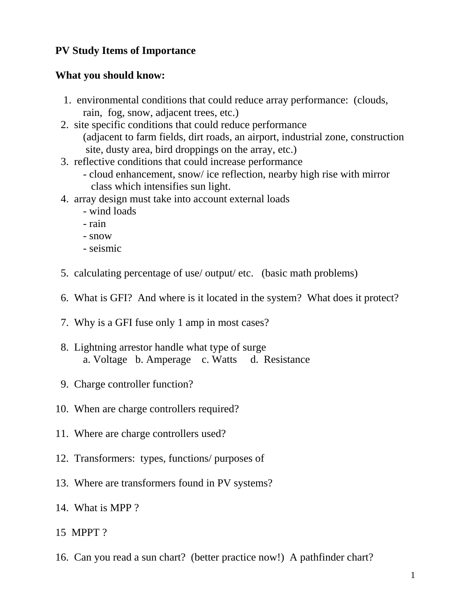## **PV Study Items of Importance**

## **What you should know:**

- 1. environmental conditions that could reduce array performance: (clouds, rain, fog, snow, adjacent trees, etc.)
- 2. site specific conditions that could reduce performance (adjacent to farm fields, dirt roads, an airport, industrial zone, construction site, dusty area, bird droppings on the array, etc.)
- 3. reflective conditions that could increase performance
	- cloud enhancement, snow/ ice reflection, nearby high rise with mirror class which intensifies sun light.
- 4. array design must take into account external loads
	- wind loads
	- rain
	- snow
	- seismic
- 5. calculating percentage of use/ output/ etc. (basic math problems)
- 6. What is GFI? And where is it located in the system? What does it protect?
- 7. Why is a GFI fuse only 1 amp in most cases?
- 8. Lightning arrestor handle what type of surge a. Voltage b. Amperage c. Watts d. Resistance
- 9. Charge controller function?
- 10. When are charge controllers required?
- 11. Where are charge controllers used?
- 12. Transformers: types, functions/ purposes of
- 13. Where are transformers found in PV systems?
- 14. What is MPP ?
- 15 MPPT ?
- 16. Can you read a sun chart? (better practice now!) A pathfinder chart?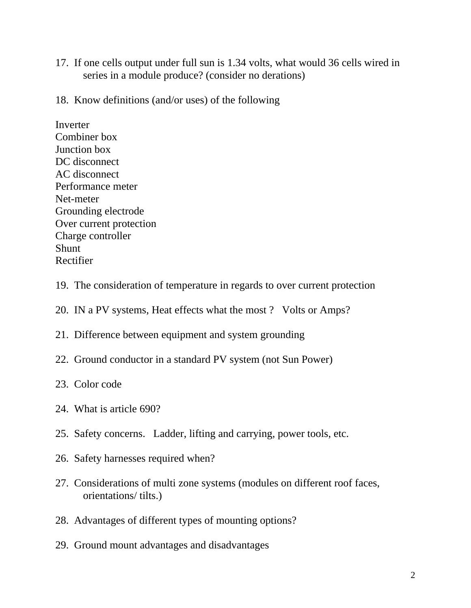- 17. If one cells output under full sun is 1.34 volts, what would 36 cells wired in series in a module produce? (consider no derations)
- 18. Know definitions (and/or uses) of the following

Inverter Combiner box Junction box DC disconnect AC disconnect Performance meter Net-meter Grounding electrode Over current protection Charge controller Shunt Rectifier

- 19. The consideration of temperature in regards to over current protection
- 20. IN a PV systems, Heat effects what the most ? Volts or Amps?
- 21. Difference between equipment and system grounding
- 22. Ground conductor in a standard PV system (not Sun Power)
- 23. Color code
- 24. What is article 690?
- 25. Safety concerns. Ladder, lifting and carrying, power tools, etc.
- 26. Safety harnesses required when?
- 27. Considerations of multi zone systems (modules on different roof faces, orientations/ tilts.)
- 28. Advantages of different types of mounting options?
- 29. Ground mount advantages and disadvantages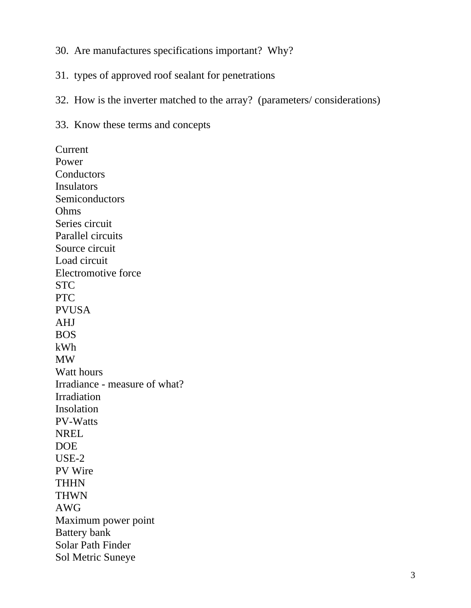- 30. Are manufactures specifications important? Why?
- 31. types of approved roof sealant for penetrations
- 32. How is the inverter matched to the array? (parameters/ considerations)
- 33. Know these terms and concepts

Current Power **Conductors Insulators** Semiconductors Ohms Series circuit Parallel circuits Source circuit Load circuit Electromotive force STC PTC PVUSA AHJ BOS kWh MW Watt hours Irradiance - measure of what? Irradiation Insolation PV-Watts NREL DOE USE-2 PV Wire **THHN** THWN AWG Maximum power point Battery bank Solar Path Finder Sol Metric Suneye